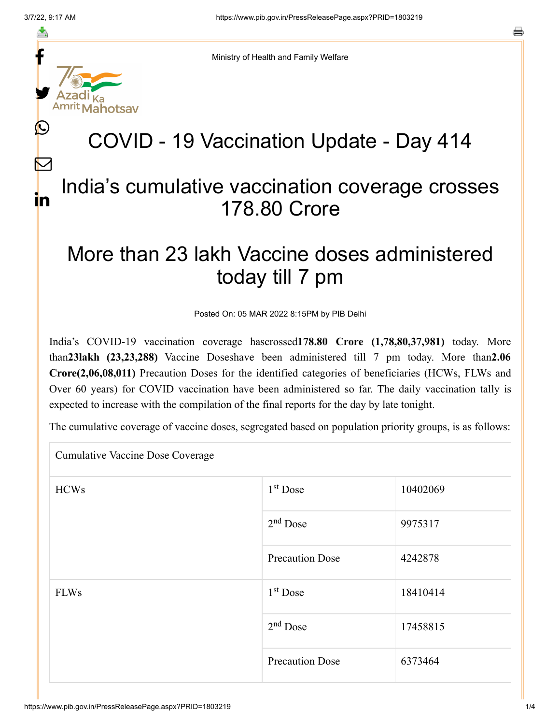f

≛

y.

 $\bm{\mathbb{C}}$ 

 $\bm{\nabla}$ 

in



## COVID - 19 Vaccination Update - Day 414

## India's cumulative vaccination coverage crosses 178.80 Crore

## More than 23 lakh Vaccine doses administered today till 7 pm

Posted On: 05 MAR 2022 8:15PM by PIB Delhi

India's COVID-19 vaccination coverage hascrossed**178.80 Crore (1,78,80,37,981)** today. More than**23lakh (23,23,288)** Vaccine Doseshave been administered till 7 pm today. More than**2.06 Crore(2,06,08,011)** Precaution Doses for the identified categories of beneficiaries (HCWs, FLWs and Over 60 years) for COVID vaccination have been administered so far. The daily vaccination tally is expected to increase with the compilation of the final reports for the day by late tonight.

The cumulative coverage of vaccine doses, segregated based on population priority groups, is as follows:

Cumulative Vaccine Dose Coverage  $HCWs$  10402069 9975317 Precaution Dose 4242878 FLWs  $1<sup>st</sup> Dose$  18410414 17458815 Precaution Dose 6373464 1<sup>st</sup> Dose  $2<sup>nd</sup>$  Dose 1<sup>st</sup> Dose  $2<sup>nd</sup>$  Dose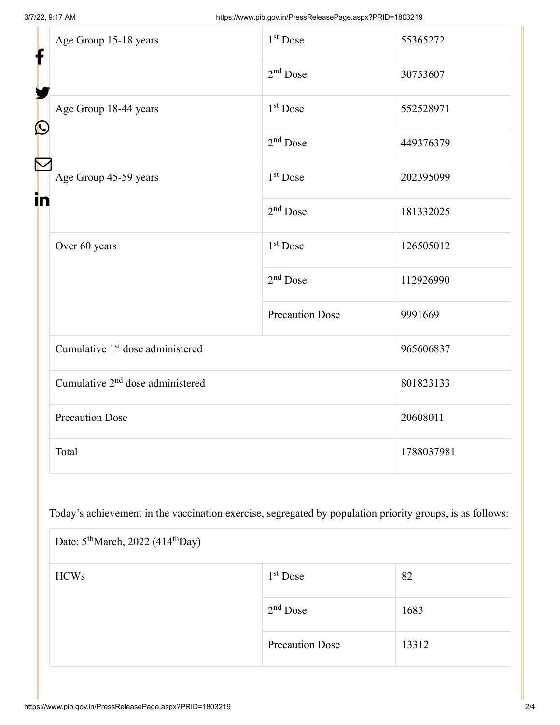| f<br>$\bf \Omega$ | Age Group 15-18 years                        | $1st$ Dose             | 55365272   |
|-------------------|----------------------------------------------|------------------------|------------|
|                   |                                              | $2nd$ Dose             | 30753607   |
|                   | Age Group 18-44 years                        | 1 <sup>st</sup> Dose   | 552528971  |
|                   |                                              | $2nd$ Dose             | 449376379  |
| in                | Age Group 45-59 years                        | 1 <sup>st</sup> Dose   | 202395099  |
|                   |                                              | $2nd$ Dose             | 181332025  |
|                   | Over 60 years                                | 1 <sup>st</sup> Dose   | 126505012  |
|                   |                                              | $2nd$ Dose             | 112926990  |
|                   |                                              | <b>Precaution Dose</b> | 9991669    |
|                   | Cumulative 1 <sup>st</sup> dose administered |                        | 965606837  |
|                   | Cumulative 2 <sup>nd</sup> dose administered |                        | 801823133  |
|                   | <b>Precaution Dose</b>                       |                        | 20608011   |
|                   | Total                                        |                        | 1788037981 |

Today's achievement in the vaccination exercise, segregated by population priority groups, is as follows:

| Date: $5^{\text{th}}$ March, 2022 (414 <sup>th</sup> Day) |                        |       |  |  |  |
|-----------------------------------------------------------|------------------------|-------|--|--|--|
| <b>HCWs</b>                                               | $1st$ Dose             | 82    |  |  |  |
|                                                           | $2nd$ Dose             | 1683  |  |  |  |
|                                                           | <b>Precaution Dose</b> | 13312 |  |  |  |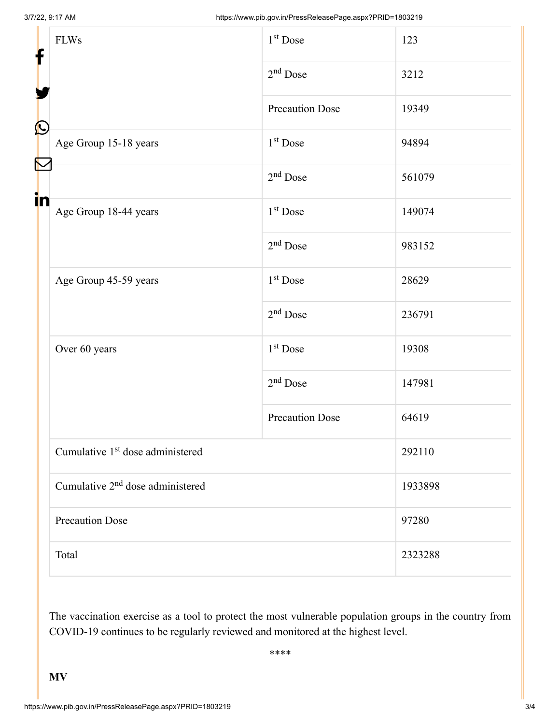| f            | <b>FLWs</b>                                  | $1st$ Dose             | 123     |
|--------------|----------------------------------------------|------------------------|---------|
|              |                                              | $2nd$ Dose             | 3212    |
|              |                                              | <b>Precaution Dose</b> | 19349   |
| $\bf \Omega$ | Age Group 15-18 years                        | 1 <sup>st</sup> Dose   | 94894   |
|              |                                              | $2nd$ Dose             | 561079  |
| in           | Age Group 18-44 years                        | 1 <sup>st</sup> Dose   | 149074  |
|              |                                              | $2nd$ Dose             | 983152  |
|              | Age Group 45-59 years                        | 1 <sup>st</sup> Dose   | 28629   |
|              |                                              | $2nd$ Dose             | 236791  |
|              | Over 60 years                                | 1 <sup>st</sup> Dose   | 19308   |
|              |                                              | $2nd$ Dose             | 147981  |
|              |                                              | <b>Precaution Dose</b> | 64619   |
|              | Cumulative 1 <sup>st</sup> dose administered |                        | 292110  |
|              | Cumulative 2 <sup>nd</sup> dose administered |                        | 1933898 |
|              | <b>Precaution Dose</b>                       |                        | 97280   |
|              | Total                                        |                        | 2323288 |

The vaccination exercise as a tool to protect the most vulnerable population groups in the country from COVID-19 continues to be regularly reviewed and monitored at the highest level.

\*\*\*\*